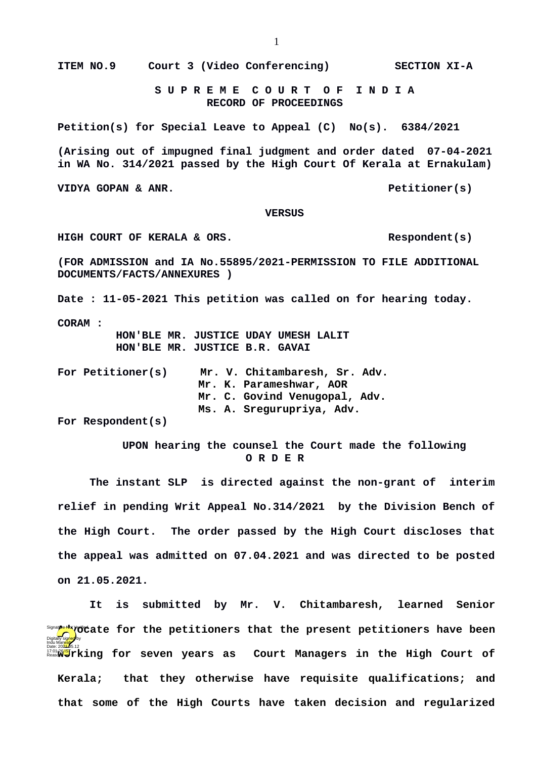**S U P R E M E C O U R T O F I N D I A RECORD OF PROCEEDINGS**

**Petition(s) for Special Leave to Appeal (C) No(s). 6384/2021**

**(Arising out of impugned final judgment and order dated 07-04-2021 in WA No. 314/2021 passed by the High Court Of Kerala at Ernakulam)**

**VIDYA GOPAN & ANR.** Petitioner(s)

## **VERSUS**

**HIGH COURT OF KERALA & ORS. Respondent(s)**

**(FOR ADMISSION and IA No.55895/2021-PERMISSION TO FILE ADDITIONAL DOCUMENTS/FACTS/ANNEXURES )**

**Date : 11-05-2021 This petition was called on for hearing today.**

**CORAM :** 

 **HON'BLE MR. JUSTICE UDAY UMESH LALIT HON'BLE MR. JUSTICE B.R. GAVAI**

**For Petitioner(s) Mr. V. Chitambaresh, Sr. Adv. Mr. K. Parameshwar, AOR Mr. C. Govind Venugopal, Adv. Ms. A. Sregurupriya, Adv.** 

**For Respondent(s)** 

 **UPON hearing the counsel the Court made the following O R D E R**

**The instant SLP is directed against the non-grant of interim relief in pending Writ Appeal No.314/2021 by the Division Bench of the High Court. The order passed by the High Court discloses that the appeal was admitted on 07.04.2021 and was directed to be posted on 21.05.2021.**

**It is submitted by Mr. V. Chitambaresh, learned Senior Advisionate for the petitioners that the present petitioners have been** <sup>17:01</sup> **Way of the Summary of Seven years as Court Managers in the High Court of Kerala; that they otherwise have requisite qualifications; and that some of the High Courts have taken decision and regularized** Digitally signed by Indu Marwah Date: 2024-05.12